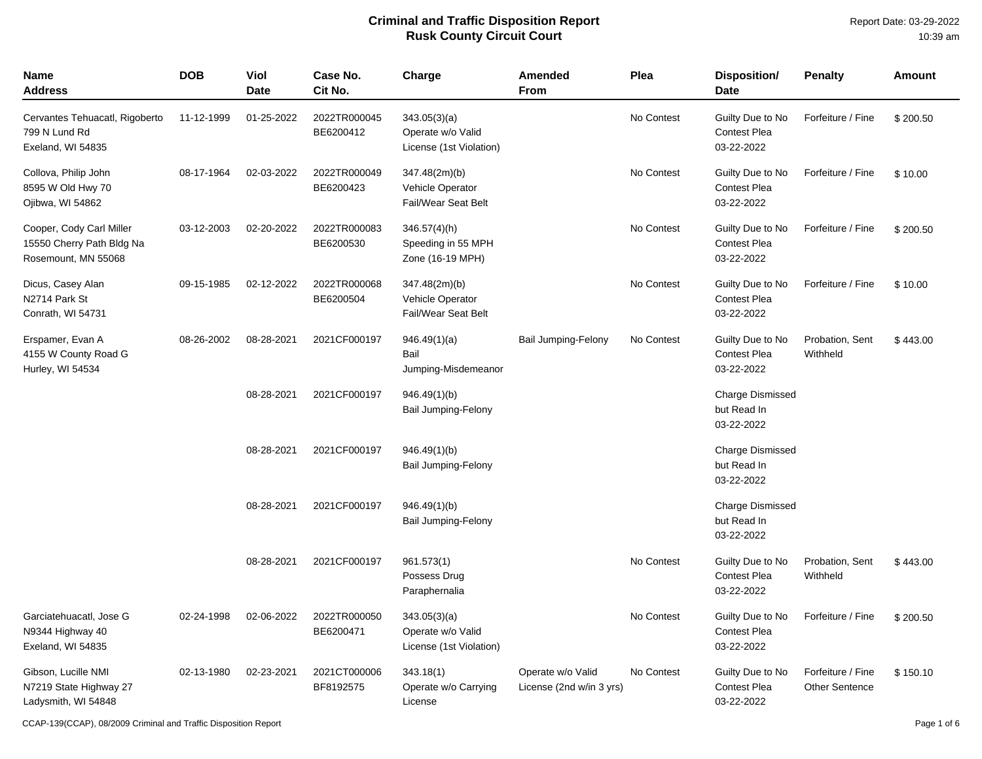| Name<br><b>Address</b>                                                       | <b>DOB</b> | Viol<br><b>Date</b> | Case No.<br>Cit No.       | Charge                                                       | <b>Amended</b><br>From                        | Plea       | <b>Disposition/</b><br><b>Date</b>                    | <b>Penalty</b>                             | <b>Amount</b> |
|------------------------------------------------------------------------------|------------|---------------------|---------------------------|--------------------------------------------------------------|-----------------------------------------------|------------|-------------------------------------------------------|--------------------------------------------|---------------|
| Cervantes Tehuacatl, Rigoberto<br>799 N Lund Rd<br>Exeland, WI 54835         | 11-12-1999 | 01-25-2022          | 2022TR000045<br>BE6200412 | 343.05(3)(a)<br>Operate w/o Valid<br>License (1st Violation) |                                               | No Contest | Guilty Due to No<br>Contest Plea<br>03-22-2022        | Forfeiture / Fine                          | \$200.50      |
| Collova, Philip John<br>8595 W Old Hwy 70<br>Ojibwa, WI 54862                | 08-17-1964 | 02-03-2022          | 2022TR000049<br>BE6200423 | 347.48(2m)(b)<br>Vehicle Operator<br>Fail/Wear Seat Belt     |                                               | No Contest | Guilty Due to No<br><b>Contest Plea</b><br>03-22-2022 | Forfeiture / Fine                          | \$10.00       |
| Cooper, Cody Carl Miller<br>15550 Cherry Path Bldg Na<br>Rosemount, MN 55068 | 03-12-2003 | 02-20-2022          | 2022TR000083<br>BE6200530 | $346.57(4)$ (h)<br>Speeding in 55 MPH<br>Zone (16-19 MPH)    |                                               | No Contest | Guilty Due to No<br><b>Contest Plea</b><br>03-22-2022 | Forfeiture / Fine                          | \$200.50      |
| Dicus, Casey Alan<br>N2714 Park St<br>Conrath, WI 54731                      | 09-15-1985 | 02-12-2022          | 2022TR000068<br>BE6200504 | 347.48(2m)(b)<br>Vehicle Operator<br>Fail/Wear Seat Belt     |                                               | No Contest | Guilty Due to No<br>Contest Plea<br>03-22-2022        | Forfeiture / Fine                          | \$10.00       |
| Erspamer, Evan A<br>4155 W County Road G<br>Hurley, WI 54534                 | 08-26-2002 | 08-28-2021          | 2021CF000197              | 946.49(1)(a)<br>Bail<br>Jumping-Misdemeanor                  | <b>Bail Jumping-Felony</b>                    | No Contest | Guilty Due to No<br><b>Contest Plea</b><br>03-22-2022 | Probation, Sent<br>Withheld                | \$443.00      |
|                                                                              |            | 08-28-2021          | 2021CF000197              | 946.49(1)(b)<br>Bail Jumping-Felony                          |                                               |            | Charge Dismissed<br>but Read In<br>03-22-2022         |                                            |               |
|                                                                              |            | 08-28-2021          | 2021CF000197              | 946.49(1)(b)<br><b>Bail Jumping-Felony</b>                   |                                               |            | <b>Charge Dismissed</b><br>but Read In<br>03-22-2022  |                                            |               |
|                                                                              |            | 08-28-2021          | 2021CF000197              | 946.49(1)(b)<br>Bail Jumping-Felony                          |                                               |            | Charge Dismissed<br>but Read In<br>03-22-2022         |                                            |               |
|                                                                              |            | 08-28-2021          | 2021CF000197              | 961.573(1)<br>Possess Drug<br>Paraphernalia                  |                                               | No Contest | Guilty Due to No<br><b>Contest Plea</b><br>03-22-2022 | Probation, Sent<br>Withheld                | \$443.00      |
| Garciatehuacatl, Jose G<br>N9344 Highway 40<br>Exeland, WI 54835             | 02-24-1998 | 02-06-2022          | 2022TR000050<br>BE6200471 | 343.05(3)(a)<br>Operate w/o Valid<br>License (1st Violation) |                                               | No Contest | Guilty Due to No<br><b>Contest Plea</b><br>03-22-2022 | Forfeiture / Fine                          | \$200.50      |
| Gibson, Lucille NMI<br>N7219 State Highway 27<br>Ladysmith, WI 54848         | 02-13-1980 | 02-23-2021          | 2021CT000006<br>BF8192575 | 343.18(1)<br>Operate w/o Carrying<br>License                 | Operate w/o Valid<br>License (2nd w/in 3 yrs) | No Contest | Guilty Due to No<br><b>Contest Plea</b><br>03-22-2022 | Forfeiture / Fine<br><b>Other Sentence</b> | \$150.10      |

CCAP-139(CCAP), 08/2009 Criminal and Traffic Disposition Report Page 1 of 6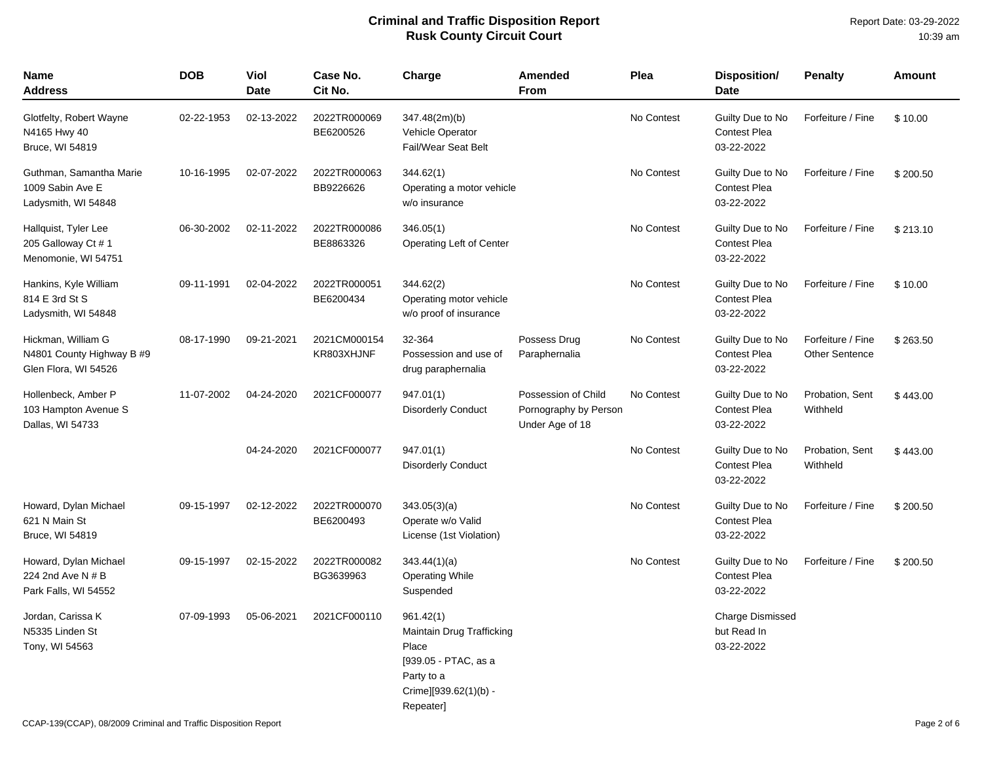| <b>Name</b><br>Address                                                  | <b>DOB</b> | Viol<br><b>Date</b> | Case No.<br>Cit No.        | Charge                                                                                                                      | <b>Amended</b><br><b>From</b>                                   | Plea       | Disposition/<br><b>Date</b>                           | <b>Penalty</b>                             | Amount   |
|-------------------------------------------------------------------------|------------|---------------------|----------------------------|-----------------------------------------------------------------------------------------------------------------------------|-----------------------------------------------------------------|------------|-------------------------------------------------------|--------------------------------------------|----------|
| Glotfelty, Robert Wayne<br>N4165 Hwy 40<br>Bruce, WI 54819              | 02-22-1953 | 02-13-2022          | 2022TR000069<br>BE6200526  | 347.48(2m)(b)<br>Vehicle Operator<br>Fail/Wear Seat Belt                                                                    |                                                                 | No Contest | Guilty Due to No<br><b>Contest Plea</b><br>03-22-2022 | Forfeiture / Fine                          | \$10.00  |
| Guthman, Samantha Marie<br>1009 Sabin Ave E<br>Ladysmith, WI 54848      | 10-16-1995 | 02-07-2022          | 2022TR000063<br>BB9226626  | 344.62(1)<br>Operating a motor vehicle<br>w/o insurance                                                                     |                                                                 | No Contest | Guilty Due to No<br><b>Contest Plea</b><br>03-22-2022 | Forfeiture / Fine                          | \$200.50 |
| Hallquist, Tyler Lee<br>205 Galloway Ct #1<br>Menomonie, WI 54751       | 06-30-2002 | 02-11-2022          | 2022TR000086<br>BE8863326  | 346.05(1)<br>Operating Left of Center                                                                                       |                                                                 | No Contest | Guilty Due to No<br><b>Contest Plea</b><br>03-22-2022 | Forfeiture / Fine                          | \$213.10 |
| Hankins, Kyle William<br>814 E 3rd St S<br>Ladysmith, WI 54848          | 09-11-1991 | 02-04-2022          | 2022TR000051<br>BE6200434  | 344.62(2)<br>Operating motor vehicle<br>w/o proof of insurance                                                              |                                                                 | No Contest | Guilty Due to No<br><b>Contest Plea</b><br>03-22-2022 | Forfeiture / Fine                          | \$10.00  |
| Hickman, William G<br>N4801 County Highway B #9<br>Glen Flora, WI 54526 | 08-17-1990 | 09-21-2021          | 2021CM000154<br>KR803XHJNF | 32-364<br>Possession and use of<br>drug paraphernalia                                                                       | Possess Drug<br>Paraphernalia                                   | No Contest | Guilty Due to No<br><b>Contest Plea</b><br>03-22-2022 | Forfeiture / Fine<br><b>Other Sentence</b> | \$263.50 |
| Hollenbeck, Amber P<br>103 Hampton Avenue S<br>Dallas, WI 54733         | 11-07-2002 | 04-24-2020          | 2021CF000077               | 947.01(1)<br><b>Disorderly Conduct</b>                                                                                      | Possession of Child<br>Pornography by Person<br>Under Age of 18 | No Contest | Guilty Due to No<br>Contest Plea<br>03-22-2022        | Probation, Sent<br>Withheld                | \$443.00 |
|                                                                         |            | 04-24-2020          | 2021CF000077               | 947.01(1)<br><b>Disorderly Conduct</b>                                                                                      |                                                                 | No Contest | Guilty Due to No<br><b>Contest Plea</b><br>03-22-2022 | Probation, Sent<br>Withheld                | \$443.00 |
| Howard, Dylan Michael<br>621 N Main St<br>Bruce, WI 54819               | 09-15-1997 | 02-12-2022          | 2022TR000070<br>BE6200493  | 343.05(3)(a)<br>Operate w/o Valid<br>License (1st Violation)                                                                |                                                                 | No Contest | Guilty Due to No<br><b>Contest Plea</b><br>03-22-2022 | Forfeiture / Fine                          | \$200.50 |
| Howard, Dylan Michael<br>224 2nd Ave N # B<br>Park Falls, WI 54552      | 09-15-1997 | 02-15-2022          | 2022TR000082<br>BG3639963  | 343.44(1)(a)<br><b>Operating While</b><br>Suspended                                                                         |                                                                 | No Contest | Guilty Due to No<br>Contest Plea<br>03-22-2022        | Forfeiture / Fine                          | \$200.50 |
| Jordan, Carissa K<br>N5335 Linden St<br>Tony, WI 54563                  | 07-09-1993 | 05-06-2021          | 2021CF000110               | 961.42(1)<br>Maintain Drug Trafficking<br>Place<br>[939.05 - PTAC, as a<br>Party to a<br>Crime][939.62(1)(b) -<br>Repeater] |                                                                 |            | <b>Charge Dismissed</b><br>but Read In<br>03-22-2022  |                                            |          |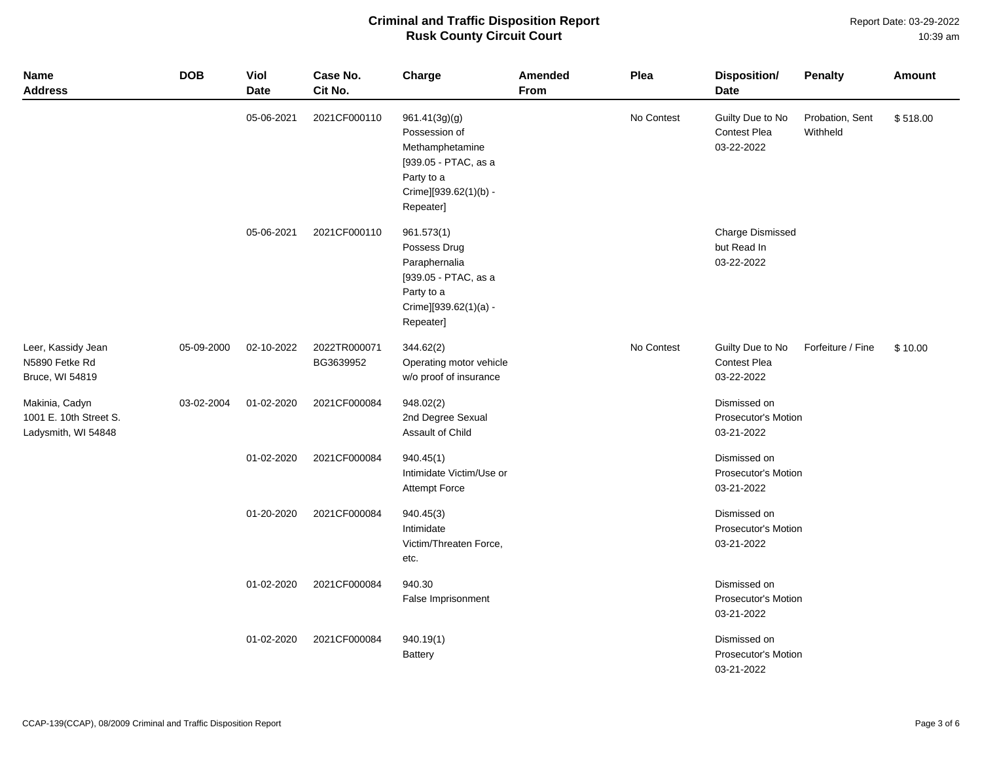Report Date: 03-29-2022 10:39 am

| Name<br><b>Address</b>                                          | <b>DOB</b> | Viol<br><b>Date</b> | Case No.<br>Cit No.       | Charge                                                                                                                        | <b>Amended</b><br>From | Plea       | <b>Disposition/</b><br><b>Date</b>                       | <b>Penalty</b>              | Amount   |
|-----------------------------------------------------------------|------------|---------------------|---------------------------|-------------------------------------------------------------------------------------------------------------------------------|------------------------|------------|----------------------------------------------------------|-----------------------------|----------|
|                                                                 |            | 05-06-2021          | 2021CF000110              | 961.41(3g)(g)<br>Possession of<br>Methamphetamine<br>[939.05 - PTAC, as a<br>Party to a<br>Crime][939.62(1)(b) -<br>Repeater] |                        | No Contest | Guilty Due to No<br>Contest Plea<br>03-22-2022           | Probation, Sent<br>Withheld | \$518.00 |
|                                                                 |            | 05-06-2021          | 2021CF000110              | 961.573(1)<br>Possess Drug<br>Paraphernalia<br>[939.05 - PTAC, as a<br>Party to a<br>Crime][939.62(1)(a) -<br>Repeater]       |                        |            | <b>Charge Dismissed</b><br>but Read In<br>03-22-2022     |                             |          |
| Leer, Kassidy Jean<br>N5890 Fetke Rd<br>Bruce, WI 54819         | 05-09-2000 | 02-10-2022          | 2022TR000071<br>BG3639952 | 344.62(2)<br>Operating motor vehicle<br>w/o proof of insurance                                                                |                        | No Contest | Guilty Due to No<br><b>Contest Plea</b><br>03-22-2022    | Forfeiture / Fine           | \$10.00  |
| Makinia, Cadyn<br>1001 E. 10th Street S.<br>Ladysmith, WI 54848 | 03-02-2004 | 01-02-2020          | 2021CF000084              | 948.02(2)<br>2nd Degree Sexual<br>Assault of Child                                                                            |                        |            | Dismissed on<br>Prosecutor's Motion<br>03-21-2022        |                             |          |
|                                                                 |            | 01-02-2020          | 2021CF000084              | 940.45(1)<br>Intimidate Victim/Use or<br><b>Attempt Force</b>                                                                 |                        |            | Dismissed on<br>Prosecutor's Motion<br>03-21-2022        |                             |          |
|                                                                 |            | 01-20-2020          | 2021CF000084              | 940.45(3)<br>Intimidate<br>Victim/Threaten Force,<br>etc.                                                                     |                        |            | Dismissed on<br><b>Prosecutor's Motion</b><br>03-21-2022 |                             |          |
|                                                                 |            | 01-02-2020          | 2021CF000084              | 940.30<br>False Imprisonment                                                                                                  |                        |            | Dismissed on<br>Prosecutor's Motion<br>03-21-2022        |                             |          |
|                                                                 |            | 01-02-2020          | 2021CF000084              | 940.19(1)<br><b>Battery</b>                                                                                                   |                        |            | Dismissed on<br>Prosecutor's Motion<br>03-21-2022        |                             |          |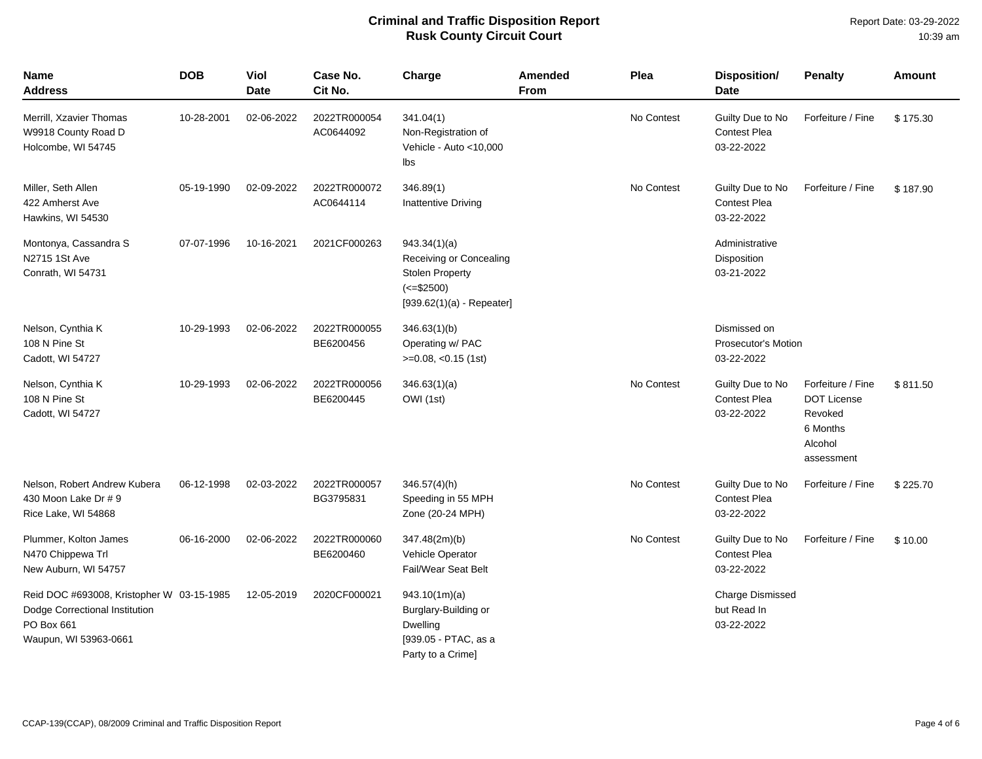| Name<br><b>Address</b>                                                                                             | <b>DOB</b> | Viol<br><b>Date</b> | Case No.<br>Cit No.       | Charge                                                                                                           | Amended<br><b>From</b> | Plea       | Disposition/<br><b>Date</b>                           | <b>Penalty</b>                                                                          | Amount   |
|--------------------------------------------------------------------------------------------------------------------|------------|---------------------|---------------------------|------------------------------------------------------------------------------------------------------------------|------------------------|------------|-------------------------------------------------------|-----------------------------------------------------------------------------------------|----------|
| Merrill, Xzavier Thomas<br>W9918 County Road D<br>Holcombe, WI 54745                                               | 10-28-2001 | 02-06-2022          | 2022TR000054<br>AC0644092 | 341.04(1)<br>Non-Registration of<br>Vehicle - Auto <10,000<br>lbs                                                |                        | No Contest | Guilty Due to No<br><b>Contest Plea</b><br>03-22-2022 | Forfeiture / Fine                                                                       | \$175.30 |
| Miller, Seth Allen<br>422 Amherst Ave<br>Hawkins, WI 54530                                                         | 05-19-1990 | 02-09-2022          | 2022TR000072<br>AC0644114 | 346.89(1)<br><b>Inattentive Driving</b>                                                                          |                        | No Contest | Guilty Due to No<br><b>Contest Plea</b><br>03-22-2022 | Forfeiture / Fine                                                                       | \$187.90 |
| Montonya, Cassandra S<br>N2715 1St Ave<br>Conrath, WI 54731                                                        | 07-07-1996 | 10-16-2021          | 2021CF000263              | 943.34(1)(a)<br>Receiving or Concealing<br><b>Stolen Property</b><br>$(<= $2500)$<br>$[939.62(1)(a) - Repeated]$ |                        |            | Administrative<br>Disposition<br>03-21-2022           |                                                                                         |          |
| Nelson, Cynthia K<br>108 N Pine St<br>Cadott, WI 54727                                                             | 10-29-1993 | 02-06-2022          | 2022TR000055<br>BE6200456 | 346.63(1)(b)<br>Operating w/ PAC<br>$>=0.08, <0.15$ (1st)                                                        |                        |            | Dismissed on<br>Prosecutor's Motion<br>03-22-2022     |                                                                                         |          |
| Nelson, Cynthia K<br>108 N Pine St<br>Cadott, WI 54727                                                             | 10-29-1993 | 02-06-2022          | 2022TR000056<br>BE6200445 | 346.63(1)(a)<br>OWI (1st)                                                                                        |                        | No Contest | Guilty Due to No<br><b>Contest Plea</b><br>03-22-2022 | Forfeiture / Fine<br><b>DOT License</b><br>Revoked<br>6 Months<br>Alcohol<br>assessment | \$811.50 |
| Nelson, Robert Andrew Kubera<br>430 Moon Lake Dr # 9<br>Rice Lake, WI 54868                                        | 06-12-1998 | 02-03-2022          | 2022TR000057<br>BG3795831 | 346.57(4)(h)<br>Speeding in 55 MPH<br>Zone (20-24 MPH)                                                           |                        | No Contest | Guilty Due to No<br><b>Contest Plea</b><br>03-22-2022 | Forfeiture / Fine                                                                       | \$225.70 |
| Plummer, Kolton James<br>N470 Chippewa Trl<br>New Auburn, WI 54757                                                 | 06-16-2000 | 02-06-2022          | 2022TR000060<br>BE6200460 | 347.48(2m)(b)<br>Vehicle Operator<br>Fail/Wear Seat Belt                                                         |                        | No Contest | Guilty Due to No<br><b>Contest Plea</b><br>03-22-2022 | Forfeiture / Fine                                                                       | \$10.00  |
| Reid DOC #693008, Kristopher W 03-15-1985<br>Dodge Correctional Institution<br>PO Box 661<br>Waupun, WI 53963-0661 |            | 12-05-2019          | 2020CF000021              | 943.10(1m)(a)<br>Burglary-Building or<br>Dwelling<br>[939.05 - PTAC, as a<br>Party to a Crime]                   |                        |            | <b>Charge Dismissed</b><br>but Read In<br>03-22-2022  |                                                                                         |          |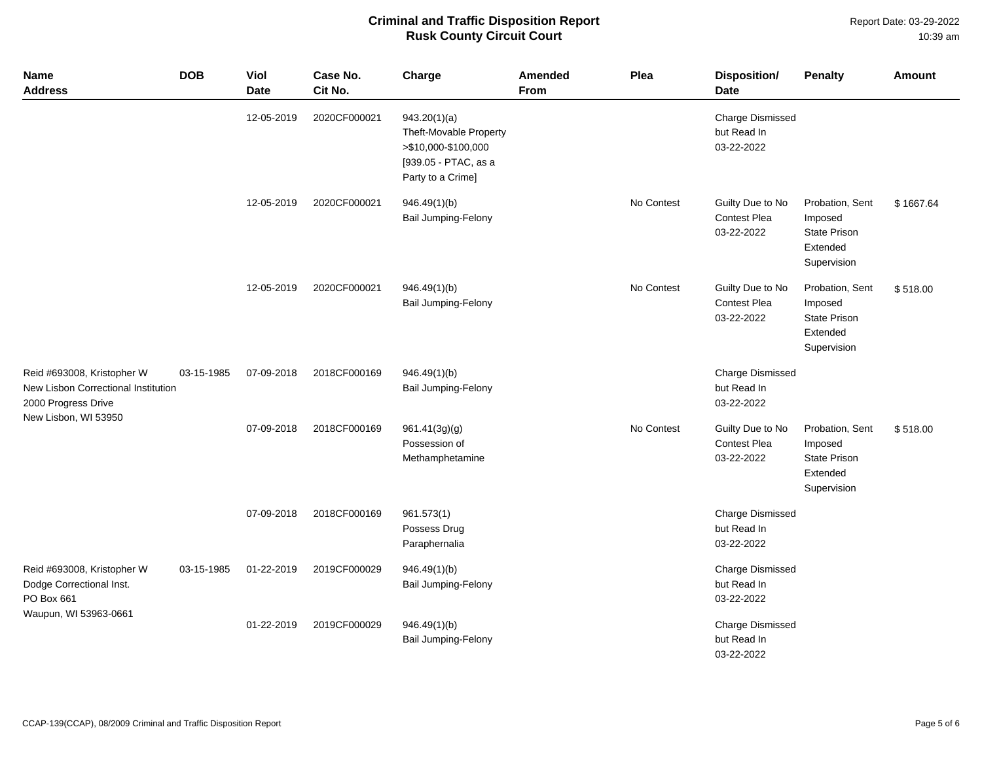Report Date: 03-29-2022 10:39 am

| <b>Name</b><br><b>Address</b>                                                                                    | <b>DOB</b> | Viol<br><b>Date</b> | Case No.<br>Cit No. | Charge                                                                                                     | <b>Amended</b><br>From | Plea       | <b>Disposition/</b><br><b>Date</b>                    | <b>Penalty</b>                                                               | <b>Amount</b> |
|------------------------------------------------------------------------------------------------------------------|------------|---------------------|---------------------|------------------------------------------------------------------------------------------------------------|------------------------|------------|-------------------------------------------------------|------------------------------------------------------------------------------|---------------|
|                                                                                                                  |            | 12-05-2019          | 2020CF000021        | 943.20(1)(a)<br>Theft-Movable Property<br>>\$10,000-\$100,000<br>[939.05 - PTAC, as a<br>Party to a Crime] |                        |            | <b>Charge Dismissed</b><br>but Read In<br>03-22-2022  |                                                                              |               |
|                                                                                                                  |            | 12-05-2019          | 2020CF000021        | 946.49(1)(b)<br>Bail Jumping-Felony                                                                        |                        | No Contest | Guilty Due to No<br>Contest Plea<br>03-22-2022        | Probation, Sent<br>Imposed<br>State Prison<br>Extended<br>Supervision        | \$1667.64     |
|                                                                                                                  |            | 12-05-2019          | 2020CF000021        | 946.49(1)(b)<br><b>Bail Jumping-Felony</b>                                                                 |                        | No Contest | Guilty Due to No<br><b>Contest Plea</b><br>03-22-2022 | Probation, Sent<br>Imposed<br><b>State Prison</b><br>Extended<br>Supervision | \$518.00      |
| Reid #693008, Kristopher W<br>New Lisbon Correctional Institution<br>2000 Progress Drive<br>New Lisbon, WI 53950 | 03-15-1985 | 07-09-2018          | 2018CF000169        | 946.49(1)(b)<br>Bail Jumping-Felony                                                                        |                        |            | <b>Charge Dismissed</b><br>but Read In<br>03-22-2022  |                                                                              |               |
|                                                                                                                  |            | 07-09-2018          | 2018CF000169        | 961.41(3g)(g)<br>Possession of<br>Methamphetamine                                                          |                        | No Contest | Guilty Due to No<br><b>Contest Plea</b><br>03-22-2022 | Probation, Sent<br>Imposed<br><b>State Prison</b><br>Extended<br>Supervision | \$518.00      |
|                                                                                                                  |            | 07-09-2018          | 2018CF000169        | 961.573(1)<br>Possess Drug<br>Paraphernalia                                                                |                        |            | <b>Charge Dismissed</b><br>but Read In<br>03-22-2022  |                                                                              |               |
| Reid #693008, Kristopher W<br>Dodge Correctional Inst.<br>PO Box 661<br>Waupun, WI 53963-0661                    | 03-15-1985 | 01-22-2019          | 2019CF000029        | 946.49(1)(b)<br><b>Bail Jumping-Felony</b>                                                                 |                        |            | <b>Charge Dismissed</b><br>but Read In<br>03-22-2022  |                                                                              |               |
|                                                                                                                  |            | 01-22-2019          | 2019CF000029        | 946.49(1)(b)<br>Bail Jumping-Felony                                                                        |                        |            | <b>Charge Dismissed</b><br>but Read In<br>03-22-2022  |                                                                              |               |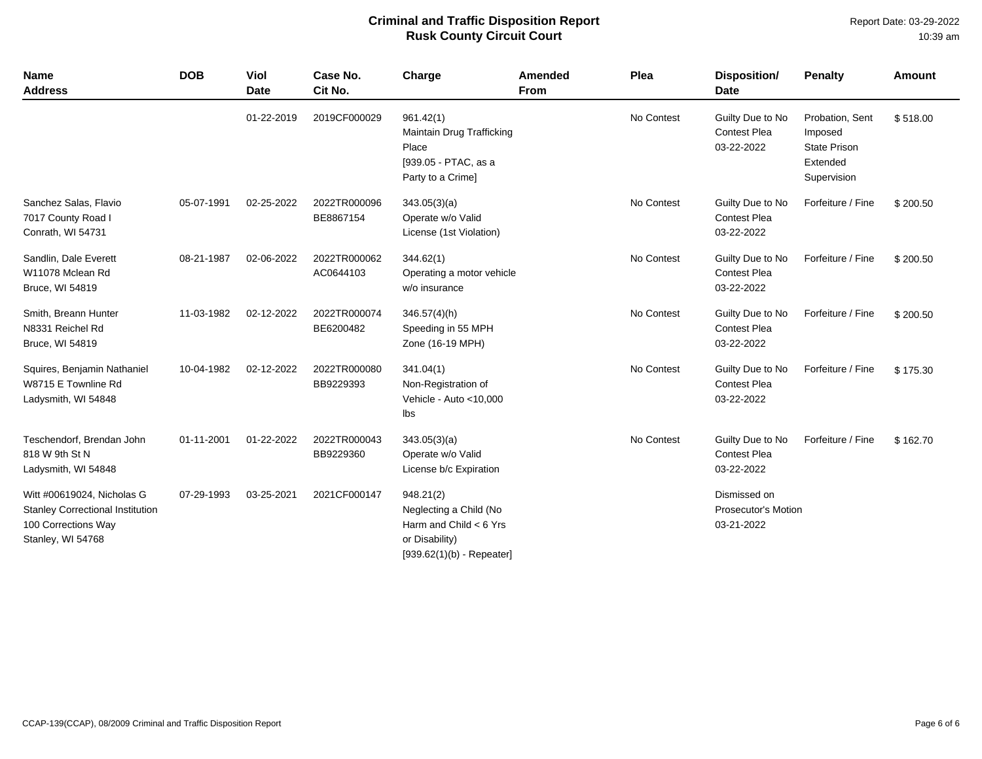| <b>Name</b><br><b>Address</b>                                                                                     | <b>DOB</b> | Viol<br><b>Date</b> | Case No.<br>Cit No.       | Charge                                                                                                           | Amended<br><b>From</b> | Plea       | Disposition/<br><b>Date</b>                              | <b>Penalty</b>                                                               | <b>Amount</b> |
|-------------------------------------------------------------------------------------------------------------------|------------|---------------------|---------------------------|------------------------------------------------------------------------------------------------------------------|------------------------|------------|----------------------------------------------------------|------------------------------------------------------------------------------|---------------|
|                                                                                                                   |            | 01-22-2019          | 2019CF000029              | 961.42(1)<br>Maintain Drug Trafficking<br>Place<br>[939.05 - PTAC, as a<br>Party to a Crime]                     |                        | No Contest | Guilty Due to No<br><b>Contest Plea</b><br>03-22-2022    | Probation, Sent<br>Imposed<br><b>State Prison</b><br>Extended<br>Supervision | \$518.00      |
| Sanchez Salas, Flavio<br>7017 County Road I<br>Conrath, WI 54731                                                  | 05-07-1991 | 02-25-2022          | 2022TR000096<br>BE8867154 | 343.05(3)(a)<br>Operate w/o Valid<br>License (1st Violation)                                                     |                        | No Contest | Guilty Due to No<br><b>Contest Plea</b><br>03-22-2022    | Forfeiture / Fine                                                            | \$200.50      |
| Sandlin, Dale Everett<br>W11078 Mclean Rd<br>Bruce, WI 54819                                                      | 08-21-1987 | 02-06-2022          | 2022TR000062<br>AC0644103 | 344.62(1)<br>Operating a motor vehicle<br>w/o insurance                                                          |                        | No Contest | Guilty Due to No<br><b>Contest Plea</b><br>03-22-2022    | Forfeiture / Fine                                                            | \$200.50      |
| Smith, Breann Hunter<br>N8331 Reichel Rd<br>Bruce, WI 54819                                                       | 11-03-1982 | 02-12-2022          | 2022TR000074<br>BE6200482 | $346.57(4)$ (h)<br>Speeding in 55 MPH<br>Zone (16-19 MPH)                                                        |                        | No Contest | Guilty Due to No<br><b>Contest Plea</b><br>03-22-2022    | Forfeiture / Fine                                                            | \$200.50      |
| Squires, Benjamin Nathaniel<br>W8715 E Townline Rd<br>Ladysmith, WI 54848                                         | 10-04-1982 | 02-12-2022          | 2022TR000080<br>BB9229393 | 341.04(1)<br>Non-Registration of<br>Vehicle - Auto <10,000<br>Ibs                                                |                        | No Contest | Guilty Due to No<br><b>Contest Plea</b><br>03-22-2022    | Forfeiture / Fine                                                            | \$175.30      |
| Teschendorf, Brendan John<br>818 W 9th St N<br>Ladysmith, WI 54848                                                | 01-11-2001 | 01-22-2022          | 2022TR000043<br>BB9229360 | 343.05(3)(a)<br>Operate w/o Valid<br>License b/c Expiration                                                      |                        | No Contest | Guilty Due to No<br><b>Contest Plea</b><br>03-22-2022    | Forfeiture / Fine                                                            | \$162.70      |
| Witt #00619024, Nicholas G<br><b>Stanley Correctional Institution</b><br>100 Corrections Way<br>Stanley, WI 54768 | 07-29-1993 | 03-25-2021          | 2021CF000147              | 948.21(2)<br>Neglecting a Child (No<br>Harm and Child $<$ 6 Yrs<br>or Disability)<br>$[939.62(1)(b) - Repeated]$ |                        |            | Dismissed on<br><b>Prosecutor's Motion</b><br>03-21-2022 |                                                                              |               |